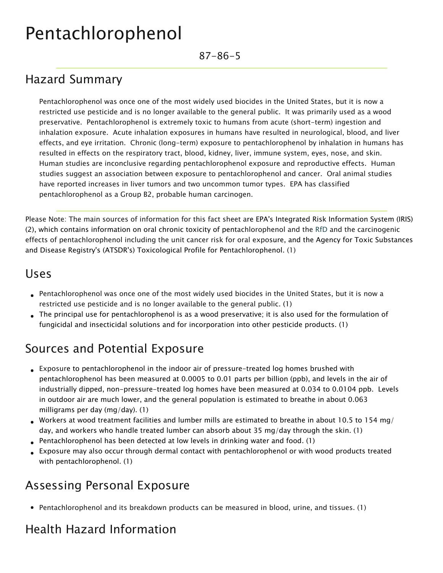# Pentachlorophenol

87-86-5

#### Hazard Summary

Pentachlorophenol was once one of the most widely used biocides in the United States, but it is now a restricted use pesticide and is no longer available to the general public. It was primarily used as a wood preservative. Pentachlorophenol is extremely toxic to humans from acute (short-term) ingestion and inhalation exposure. Acute inhalation exposures in humans have resulted in neurological, blood, and liver effects, and eye irritation. Chronic (long-term) exposure to pentachlorophenol by inhalation in humans has resulted in effects on the respiratory tract, blood, kidney, liver, immune system, eyes, nose, and skin. Human studies are inconclusive regarding pentachlorophenol exposure and reproductive effects. Human studies suggest an association between exposure to pentachlorophenol and cancer. Oral animal studies have reported increases in liver tumors and two uncommon tumor types. EPA has classified pentachlorophenol as a Group B2, probable human carcinogen.

Please Note: The main sources of information for this fact sheet are EPA's Integrated Risk Information System (IRIS) (2), which contains information on oral chronic toxicity of pentachlorophenol and the [RfD](https://www.epa.gov/haps/health-effects-notebook-glossary) and the carcinogenic effects of pentachlorophenol including the unit cancer risk for oral exposure, and the Agency for Toxic Substances and Disease Registry's (ATSDR's) Toxicological Profile for Pentachlorophenol. (1)

#### Uses

- Pentachlorophenol was once one of the most widely used biocides in the United States, but it is now a restricted use pesticide and is no longer available to the general public. (1)
- The principal use for pentachlorophenol is as a wood preservative; it is also used for the formulation of fungicidal and insecticidal solutions and for incorporation into other pesticide products. (1)

#### Sources and Potential Exposure

- Exposure to pentachlorophenol in the indoor air of pressure-treated log homes brushed with pentachlorophenol has been measured at 0.0005 to 0.01 parts per billion (ppb), and levels in the air of industrially dipped, non-pressure-treated log homes have been measured at 0.034 to 0.0104 ppb. Levels in outdoor air are much lower, and the general population is estimated to breathe in about 0.063 milligrams per day (mg/day). (1)
- Workers at wood treatment facilities and lumber mills are estimated to breathe in about 10.5 to 154 mg/ day, and workers who handle treated lumber can absorb about 35 mg/day through the skin. (1)
- Pentachlorophenol has been detected at low levels in drinking water and food. (1)
- Exposure may also occur through dermal contact with pentachlorophenol or with wood products treated with pentachlorophenol. (1)

# Assessing Personal Exposure

Pentachlorophenol and its breakdown products can be measured in blood, urine, and tissues. (1)

# Health Hazard Information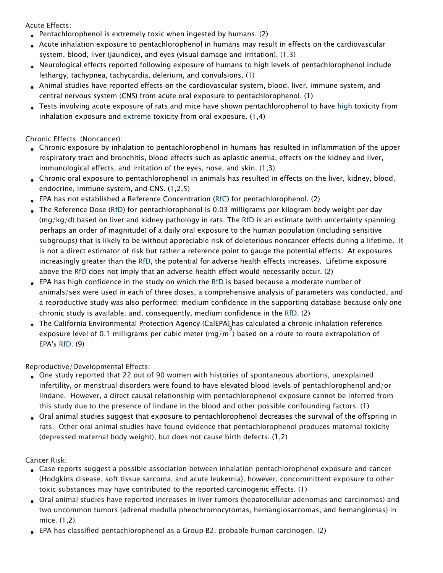Acute Effects:

- Pentachlorophenol is extremely toxic when ingested by humans. (2)
- Acute inhalation exposure to pentachlorophenol in humans may result in effects on the cardiovascular system, blood, liver (jaundice), and eyes (visual damage and irritation). (1,3)
- Neurological effects reported following exposure of humans to high levels of pentachlorophenol include lethargy, tachypnea, tachycardia, delerium, and convulsions. (1)
- Animal studies have reported effects on the cardiovascular system, blood, liver, immune system, and central nervous system (CNS) from acute oral exposure to pentachlorophenol. (1)
- Tests involving acute exposure of rats and mice have shown pentachlorophenol to have [high](https://www.epa.gov/haps/about-health-effects-fact-sheets) toxicity from inhalation exposure and [extreme](https://www.epa.gov/haps/about-health-effects-fact-sheets) toxicity from oral exposure. (1,4)

Chronic Effects (Noncancer):

- Chronic exposure by inhalation to pentachlorophenol in humans has resulted in inflammation of the upper respiratory tract and bronchitis, blood effects such as aplastic anemia, effects on the kidney and liver, immunological effects, and irritation of the eyes, nose, and skin. (1,3)
- Chronic oral exposure to pentachlorophenol in animals has resulted in effects on the liver, kidney, blood, endocrine, immune system, and CNS. (1,2,5)
- EPA has not established a Reference Concentration ([RfC\)](https://www.epa.gov/haps/health-effects-notebook-glossary) for pentachlorophenol. (2)
- The Reference Dose [\(RfD\)](https://www.epa.gov/haps/health-effects-notebook-glossary) for pentachlorophenol is 0.03 milligrams per kilogram body weight per day (mg/kg/d) based on liver and kidney pathology in rats. The [RfD](https://www.epa.gov/haps/health-effects-notebook-glossary) is an estimate (with uncertainty spanning perhaps an order of magnitude) of a daily oral exposure to the human population (including sensitive subgroups) that is likely to be without appreciable risk of deleterious noncancer effects during a lifetime. It is not a direct estimator of risk but rather a reference point to gauge the potential effects. At exposures increasingly greater than the [RfD](https://www.epa.gov/haps/health-effects-notebook-glossary), the potential for adverse health effects increases. Lifetime exposure above the [RfD](https://www.epa.gov/haps/health-effects-notebook-glossary) does not imply that an adverse health effect would necessarily occur. (2)
- EPA has high confidence in the study on which the [RfD](https://www.epa.gov/haps/health-effects-notebook-glossary) is based because a moderate number of animals/sex were used in each of three doses, a comprehensive analysis of parameters was conducted, and a reproductive study was also performed; medium confidence in the supporting database because only one chronic study is available; and, consequently, medium confidence in the [RfD.](https://www.epa.gov/haps/health-effects-notebook-glossary) (2)
- The California Environmental Protection Agency (CalEPA) has calculated a chronic inhalation reference exposure level of 0.1 milligrams per cubic meter (mg/m<sup>3</sup>) based on a route to route extrapolation of EPA's [RfD](https://www.epa.gov/haps/health-effects-notebook-glossary). (9)

Reproductive/Developmental Effects:

- One study reported that 22 out of 90 women with histories of spontaneous abortions, unexplained infertility, or menstrual disorders were found to have elevated blood levels of pentachlorophenol and/or lindane. However, a direct causal relationship with pentachlorophenol exposure cannot be inferred from this study due to the presence of lindane in the blood and other possible confounding factors. (1)
- Oral animal studies suggest that exposure to pentachlorophenol decreases the survival of the offspring in rats. Other oral animal studies have found evidence that pentachlorophenol produces maternal toxicity (depressed maternal body weight), but does not cause birth defects. (1,2)

Cancer Risk:

- Case reports suggest a possible association between inhalation pentachlorophenol exposure and cancer (Hodgkins disease, soft tissue sarcoma, and acute leukemia); however, concommittent exposure to other toxic substances may have contributed to the reported carcinogenic effects. (1)
- Oral animal studies have reported increases in liver tumors (hepatocellular adenomas and carcinomas) and two uncommon tumors (adrenal medulla pheochromocytomas, hemangiosarcomas, and hemangiomas) in mice. (1,2)
- EPA has classified pentachlorophenol as a Group B2, probable human carcinogen. (2)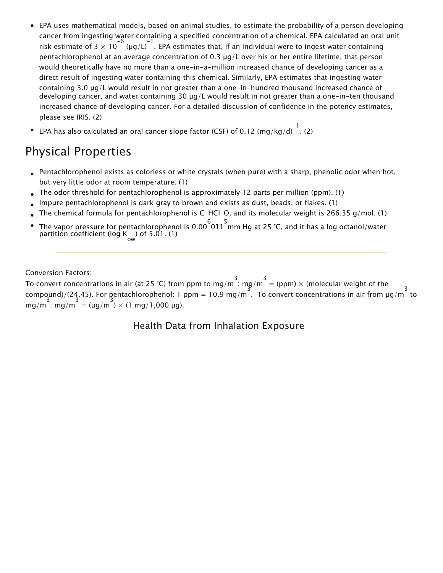- EPA uses mathematical models, based on animal studies, to estimate the probability of a person developing cancer from ingesting water containing a specified concentration of a chemical. EPA calculated an oral unit risk estimate of 3  $\times$  10<sup>-6</sup> (µg/L)<sup>-1</sup>. EPA estimates that, if an individual were to ingest water containing pentachlorophenol at an average concentration of 0.3 µg/L over his or her entire lifetime, that person would theoretically have no more than a one-in-a-million increased chance of developing cancer as a direct result of ingesting water containing this chemical. Similarly, EPA estimates that ingesting water containing 3.0 µg/L would result in not greater than a one-in-hundred thousand increased chance of developing cancer, and water containing 30 µg/L would result in not greater than a one-in-ten thousand increased chance of developing cancer. For a detailed discussion of confidence in the potency estimates, please see IRIS. (2)
- EPA has also calculated an oral cancer slope factor (CSF) of 0.12 (mg/kg/d)  $^{-1}$ . (2)

### Physical Properties

- Pentachlorophenol exists as colorless or white crystals (when pure) with a sharp, phenolic odor when hot, but very little odor at room temperature. (1)
- The odor threshold for pentachlorophenol is approximately 12 parts per million (ppm). (1)
- Impure pentachlorophenol is dark gray to brown and exists as dust, beads, or flakes. (1)
- The chemical formula for pentachlorophenol is C HCl O, and its molecular weight is 266.35 g/mol. (1)
- The vapor pressure for pentachlorophenol is 0.00 $\overset{6}{\circ}$ 011  $^5$ mm Hg at 25 °C, and it has a log octanol/water partition coefficient (log K ) of 5.01. (1)

Conversion Factors:

To convert concentrations in air (at 25 °C) from ppm to mg/m  $\frac{3}{1}$  mg/m  $\frac{3}{1}$  = (ppm)  $\times$  (molecular weight of the compound)/(24.45). For pentachlorophenol: 1 ppm = 10.9 mg/m<sup>3</sup>. To convert concentrations in air from  $\mu$ g/m<sup>3</sup> to mg/m : mg/m = ( $\mu$ g/m )  $\times$  (1 mg/1,000  $\mu$ g).

Health Data from Inhalation Exposure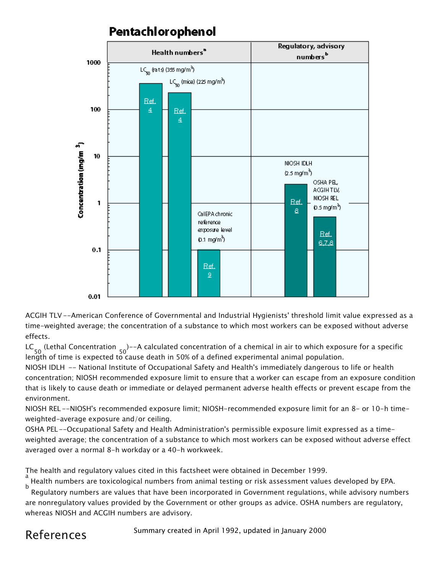

#### Pentachlorophenol

ACGIH TLV --American Conference of Governmental and Industrial Hygienists' threshold limit value expressed as a time-weighted average; the concentration of a substance to which most workers can be exposed without adverse effects.

LC 50 (Lethal Concentration 50 )--A calculated concentration of a chemical in air to which exposure for a specific length of time is expected to cause death in 50% of a defined experimental animal population.

NIOSH IDLH -- National Institute of Occupational Safety and Health's immediately dangerous to life or health concentration; NIOSH recommended exposure limit to ensure that a worker can escape from an exposure condition that is likely to cause death or immediate or delayed permanent adverse health effects or prevent escape from the environment.

NIOSH REL --NIOSH's recommended exposure limit; NIOSH-recommended exposure limit for an 8- or 10-h timeweighted-average exposure and/or ceiling.

OSHA PEL--Occupational Safety and Health Administration's permissible exposure limit expressed as a timeweighted average; the concentration of a substance to which most workers can be exposed without adverse effect averaged over a normal 8-h workday or a 40-h workweek.

The health and regulatory values cited in this factsheet were obtained in December 1999.

a Health numbers are toxicological numbers from animal testing or risk assessment values developed by EPA. b

 Regulatory numbers are values that have been incorporated in Government regulations, while advisory numbers are nonregulatory values provided by the Government or other groups as advice. OSHA numbers are regulatory, whereas NIOSH and ACGIH numbers are advisory.

# References

Summary created in April 1992, updated in January 2000